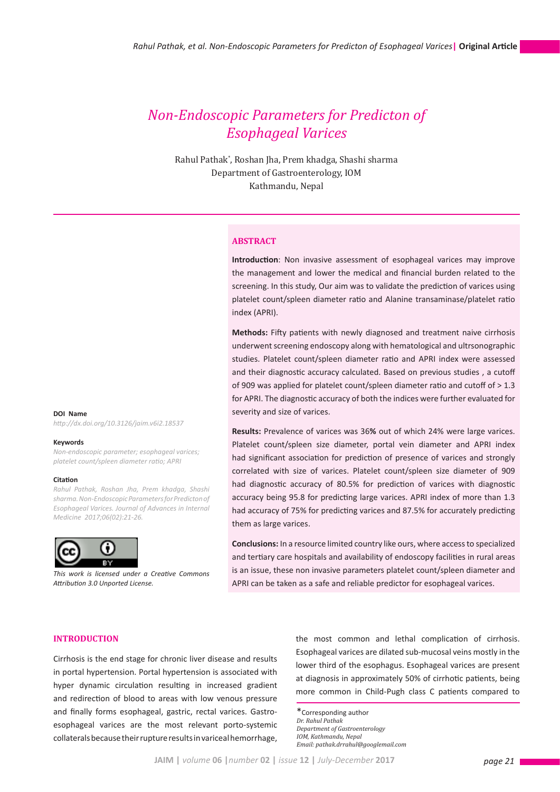# *Non-Endoscopic Parameters for Predicton of Esophageal Varices*

Rahul Pathak\* , Roshan Jha, Prem khadga, Shashi sharma Department of Gastroenterology, IOM Kathmandu, Nepal

# **ABSTRACT**

**Introduction**: Non invasive assessment of esophageal varices may improve the management and lower the medical and financial burden related to the screening. In this study, Our aim was to validate the prediction of varices using platelet count/spleen diameter ratio and Alanine transaminase/platelet ratio index (APRI).

**Methods:** Fifty patients with newly diagnosed and treatment naive cirrhosis underwent screening endoscopy along with hematological and ultrsonographic studies. Platelet count/spleen diameter ratio and APRI index were assessed and their diagnostic accuracy calculated. Based on previous studies , a cutoff of 909 was applied for platelet count/spleen diameter ratio and cutoff of > 1.3 for APRI. The diagnostic accuracy of both the indices were further evaluated for severity and size of varices.

**Results:** Prevalence of varices was 36**%** out of which 24% were large varices. Platelet count/spleen size diameter, portal vein diameter and APRI index had significant association for prediction of presence of varices and strongly correlated with size of varices. Platelet count/spleen size diameter of 909 had diagnostic accuracy of 80.5% for prediction of varices with diagnostic accuracy being 95.8 for predicting large varices. APRI index of more than 1.3 had accuracy of 75% for predicting varices and 87.5% for accurately predicting them as large varices.

**Conclusions:** In a resource limited country like ours, where access to specialized and tertiary care hospitals and availability of endoscopy facilities in rural areas is an issue, these non invasive parameters platelet count/spleen diameter and APRI can be taken as a safe and reliable predictor for esophageal varices.

**DOI Name** *http://dx.doi.org/10.3126/jaim.v6i2.18537*

#### **Keywords**

*Non-endoscopic parameter; esophageal varices; platelet count/spleen diameter ratio; APRI*

#### **Citation**

*Rahul Pathak, Roshan Jha, Prem khadga, Shashi sharma. Non-Endoscopic Parameters for Predicton of Esophageal Varices. Journal of Advances in Internal Medicine 2017;06(02):21-26.* 



*This work is licensed under a Creative Commons Attribution 3.0 Unported License.*

#### **INTRODUCTION**

Cirrhosis is the end stage for chronic liver disease and results in portal hypertension. Portal hypertension is associated with hyper dynamic circulation resulting in increased gradient and redirection of blood to areas with low venous pressure and finally forms esophageal, gastric, rectal varices. Gastroesophageal varices are the most relevant porto-systemic collaterals because their rupture results in variceal hemorrhage, the most common and lethal complication of cirrhosis. Esophageal varices are dilated sub-mucosal veins mostly in the lower third of the esophagus. Esophageal varices are present at diagnosis in approximately 50% of cirrhotic patients, being more common in Child-Pugh class C patients compared to

\*Corresponding author *Dr. Rahul Pathak Department of Gastroenterology IOM, Kathmandu, Nepal Email: pathak.drrahul@googlemail.com*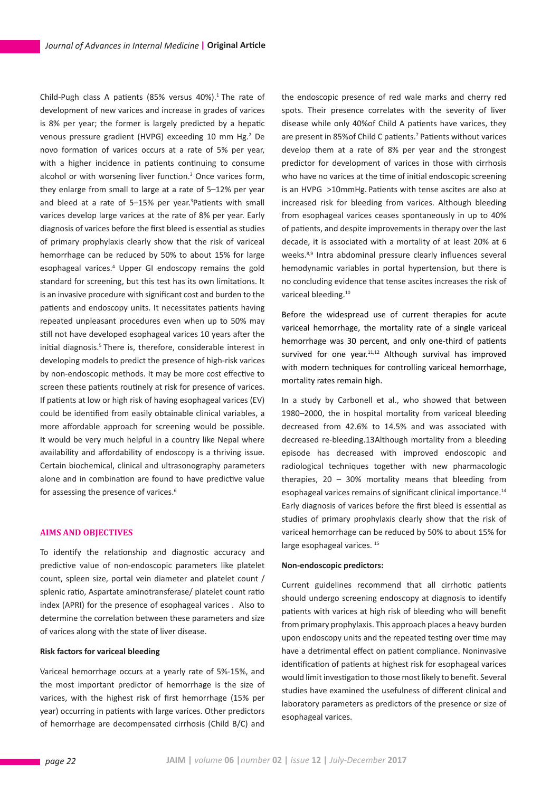Child-Pugh class A patients (85% versus 40%).<sup>1</sup> The rate of development of new varices and increase in grades of varices is 8% per year; the former is largely predicted by a hepatic venous pressure gradient (HVPG) exceeding 10 mm Hg.<sup>2</sup> De novo formation of varices occurs at a rate of 5% per year, with a higher incidence in patients continuing to consume alcohol or with worsening liver function.<sup>3</sup> Once varices form, they enlarge from small to large at a rate of 5–12% per year and bleed at a rate of 5-15% per year.<sup>3</sup>Patients with small varices develop large varices at the rate of 8% per year. Early diagnosis of varices before the first bleed is essential as studies of primary prophylaxis clearly show that the risk of variceal hemorrhage can be reduced by 50% to about 15% for large esophageal varices.<sup>4</sup> Upper GI endoscopy remains the gold standard for screening, but this test has its own limitations. It is an invasive procedure with significant cost and burden to the patients and endoscopy units. It necessitates patients having repeated unpleasant procedures even when up to 50% may still not have developed esophageal varices 10 years after the initial diagnosis.<sup>5</sup> There is, therefore, considerable interest in developing models to predict the presence of high-risk varices by non-endoscopic methods. It may be more cost effective to screen these patients routinely at risk for presence of varices. If patients at low or high risk of having esophageal varices (EV) could be identified from easily obtainable clinical variables, a more affordable approach for screening would be possible. It would be very much helpful in a country like Nepal where availability and affordability of endoscopy is a thriving issue. Certain biochemical, clinical and ultrasonography parameters alone and in combination are found to have predictive value for assessing the presence of varices.<sup>6</sup>

# **AIMS AND OBJECTIVES**

To identify the relationship and diagnostic accuracy and predictive value of non-endoscopic parameters like platelet count, spleen size, portal vein diameter and platelet count / splenic ratio, Aspartate aminotransferase/ platelet count ratio index (APRI) for the presence of esophageal varices . Also to determine the correlation between these parameters and size of varices along with the state of liver disease.

# **Risk factors for variceal bleeding**

Variceal hemorrhage occurs at a yearly rate of 5%-15%, and the most important predictor of hemorrhage is the size of varices, with the highest risk of first hemorrhage (15% per year) occurring in patients with large varices. Other predictors of hemorrhage are decompensated cirrhosis (Child B/C) and the endoscopic presence of red wale marks and cherry red spots. Their presence correlates with the severity of liver disease while only 40%of Child A patients have varices, they are present in 85% of Child C patients.<sup>7</sup> Patients without varices develop them at a rate of 8% per year and the strongest predictor for development of varices in those with cirrhosis who have no varices at the time of initial endoscopic screening is an HVPG >10mmHg. Patients with tense ascites are also at increased risk for bleeding from varices. Although bleeding from esophageal varices ceases spontaneously in up to 40% of patients, and despite improvements in therapy over the last decade, it is associated with a mortality of at least 20% at 6 weeks.<sup>8,9</sup> Intra abdominal pressure clearly influences several hemodynamic variables in portal hypertension, but there is no concluding evidence that tense ascites increases the risk of variceal bleeding.<sup>10</sup>

Before the widespread use of current therapies for acute variceal hemorrhage, the mortality rate of a single variceal hemorrhage was 30 percent, and only one-third of patients survived for one year. $11,12$  Although survival has improved with modern techniques for controlling variceal hemorrhage, mortality rates remain high.

In a study by Carbonell et al., who showed that between 1980–2000, the in hospital mortality from variceal bleeding decreased from 42.6% to 14.5% and was associated with decreased re-bleeding.13Although mortality from a bleeding episode has decreased with improved endoscopic and radiological techniques together with new pharmacologic therapies,  $20 - 30\%$  mortality means that bleeding from esophageal varices remains of significant clinical importance.<sup>14</sup> Early diagnosis of varices before the first bleed is essential as studies of primary prophylaxis clearly show that the risk of variceal hemorrhage can be reduced by 50% to about 15% for large esophageal varices.<sup>15</sup>

#### **Non-endoscopic predictors:**

Current guidelines recommend that all cirrhotic patients should undergo screening endoscopy at diagnosis to identify patients with varices at high risk of bleeding who will benefit from primary prophylaxis. This approach places a heavy burden upon endoscopy units and the repeated testing over time may have a detrimental effect on patient compliance. Noninvasive identification of patients at highest risk for esophageal varices would limit investigation to those most likely to benefit. Several studies have examined the usefulness of different clinical and laboratory parameters as predictors of the presence or size of esophageal varices.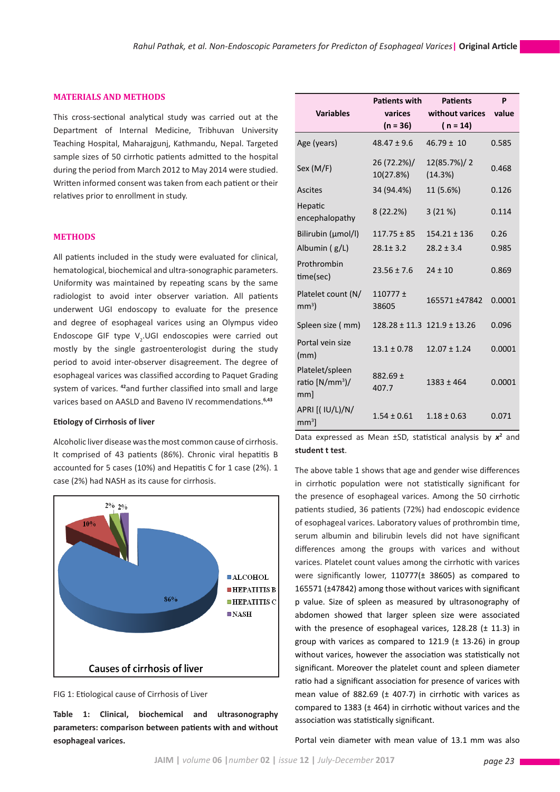### **MATERIALS AND METHODS**

This cross-sectional analytical study was carried out at the Department of Internal Medicine, Tribhuvan University Teaching Hospital, Maharajgunj, Kathmandu, Nepal. Targeted sample sizes of 50 cirrhotic patients admitted to the hospital during the period from March 2012 to May 2014 were studied. Written informed consent was taken from each patient or their relatives prior to enrollment in study.

### **METHODS**

All patients included in the study were evaluated for clinical, hematological, biochemical and ultra-sonographic parameters. Uniformity was maintained by repeating scans by the same radiologist to avoid inter observer variation. All patients underwent UGI endoscopy to evaluate for the presence and degree of esophageal varices using an Olympus video Endoscope GIF type  $V_2$ .UGI endoscopies were carried out mostly by the single gastroenterologist during the study period to avoid inter-observer disagreement. The degree of esophageal varices was classified according to Paquet Grading system of varices. **<sup>42</sup>**and further classified into small and large varices based on AASLD and Baveno IV recommendations.**6,43**

#### **Etiology of Cirrhosis of liver**

Alcoholic liver disease was the most common cause of cirrhosis. It comprised of 43 patients (86%). Chronic viral hepatitis B accounted for 5 cases (10%) and Hepatitis C for 1 case (2%). 1 case (2%) had NASH as its cause for cirrhosis.



# FIG 1: Etiological cause of Cirrhosis of Liver

**Table 1: Clinical, biochemical and ultrasonography parameters: comparison between patients with and without esophageal varices.**

| <b>Variables</b>                                | <b>Patients with</b><br>varices<br>$(n = 36)$ | <b>Patients</b><br>without varices<br>( $n = 14$ ) | P<br>value |
|-------------------------------------------------|-----------------------------------------------|----------------------------------------------------|------------|
| Age (years)                                     | $48.47 \pm 9.6$                               | $46.79 \pm 10$                                     | 0.585      |
| Sex (M/F)                                       | 26 (72.2%)/<br>10(27.8%)                      | 12(85.7%)/2<br>(14.3%)                             | 0.468      |
| Ascites                                         | 34 (94.4%)                                    | 11 (5.6%)                                          | 0.126      |
| Hepatic<br>encephalopathy                       | 8(22.2%)                                      | 3(21%)                                             | 0.114      |
| Bilirubin (µmol/l)                              | $117.75 \pm 85$                               | $154.21 \pm 136$                                   | 0.26       |
| Albumin (g/L)                                   | $28.1 \pm 3.2$                                | $28.2 \pm 3.4$                                     | 0.985      |
| Prothrombin<br>time(sec)                        | $23.56 \pm 7.6$                               | $24 \pm 10$                                        | 0.869      |
| Platelet count (N/<br>mm <sup>3</sup>           | $110777 \pm$<br>38605                         | 165571 ±47842                                      | 0.0001     |
| Spleen size (mm)                                |                                               | $128.28 \pm 11.3$ $121.9 \pm 13.26$                | 0.096      |
| Portal vein size<br>(mm)                        | $13.1 \pm 0.78$                               | $12.07 \pm 1.24$                                   | 0.0001     |
| Platelet/spleen<br>ratio $[N/mm^3]$ /<br>$mm$ ] | $882.69 \pm$<br>407.7                         | $1383 \pm 464$                                     | 0.0001     |
| APRI [( IU/L)/N/<br>$mm3$ ]                     | $1.54 \pm 0.61$                               | $1.18 \pm 0.63$                                    | 0.071      |

Data expressed as Mean  $\pm$ SD, statistical analysis by  $x^2$  and **student t test**.

The above table 1 shows that age and gender wise differences in cirrhotic population were not statistically significant for the presence of esophageal varices. Among the 50 cirrhotic patients studied, 36 patients (72%) had endoscopic evidence of esophageal varices. Laboratory values of prothrombin time, serum albumin and bilirubin levels did not have significant differences among the groups with varices and without varices. Platelet count values among the cirrhotic with varices were significantly lower, 110777(± 38605) as compared to 165571 (±47842) among those without varices with significant p value. Size of spleen as measured by ultrasonography of abdomen showed that larger spleen size were associated with the presence of esophageal varices, 128.28 (± 11.3) in group with varices as compared to 121.9 (± 13.26) in group without varices, however the association was statistically not significant. Moreover the platelet count and spleen diameter ratio had a significant association for presence of varices with mean value of 882.69 ( $\pm$  407.7) in cirrhotic with varices as compared to 1383 (± 464) in cirrhotic without varices and the association was statistically significant.

Portal vein diameter with mean value of 13.1 mm was also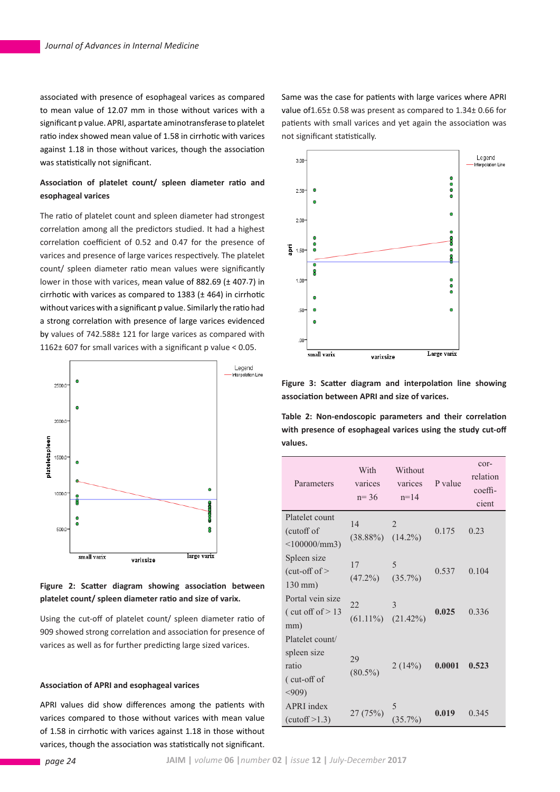associated with presence of esophageal varices as compared to mean value of 12.07 mm in those without varices with a significant p value. APRI, aspartate aminotransferase to platelet ratio index showed mean value of 1.58 in cirrhotic with varices against 1.18 in those without varices, though the association was statistically not significant.

# **Association of platelet count/ spleen diameter ratio and esophageal varices**

The ratio of platelet count and spleen diameter had strongest correlation among all the predictors studied. It had a highest correlation coefficient of 0.52 and 0.47 for the presence of varices and presence of large varices respectively. The platelet count/ spleen diameter ratio mean values were significantly lower in those with varices, mean value of 882.69 (± 407.7) in cirrhotic with varices as compared to 1383 (± 464) in cirrhotic without varices with a significant p value. Similarly the ratio had a strong correlation with presence of large varices evidenced by values of 742.588± 121 for large varices as compared with 1162± 607 for small varices with a significant p value < 0.05.



**Figure 2: Scatter diagram showing association between platelet count/ spleen diameter ratio and size of varix.**

Using the cut-off of platelet count/ spleen diameter ratio of 909 showed strong correlation and association for presence of varices as well as for further predicting large sized varices.

# **Association of APRI and esophageal varices**

APRI values did show differences among the patients with varices compared to those without varices with mean value of 1.58 in cirrhotic with varices against 1.18 in those without varices, though the association was statistically not significant. Same was the case for patients with large varices where APRI value of1.65± 0.58 was present as compared to 1.34± 0.66 for patients with small varices and yet again the association was not significant statistically.



**Figure 3: Scatter diagram and interpolation line showing association between APRI and size of varices.**

**Table 2: Non-endoscopic parameters and their correlation with presence of esophageal varices using the study cut-off values.**

| Parameters                                                      | With<br>varices<br>$n = 36$   | Without<br>varices<br>$n = 14$ | P value | cor-<br>relation<br>coeffi-<br>cient |
|-----------------------------------------------------------------|-------------------------------|--------------------------------|---------|--------------------------------------|
| Platelet count<br>(cutoff of<br>$<$ 100000/mm3)                 | 14<br>$(38.88\%)$             | $\overline{2}$<br>$(14.2\%)$   | 0.175   | 0.23                                 |
| Spleen size<br>$(cut-off of >$<br>$130$ mm $)$                  | 17<br>$(47.2\%)$ $(35.7\%)$   | 5                              | 0.537   | 0.104                                |
| Portal vein size<br>(cut off of $> 13$<br>mm)                   | 22<br>$(61.11\%)$ $(21.42\%)$ | 3                              | 0.025   | 0.336                                |
| Platelet count/<br>spleen size<br>ratio<br>(cut-off of<br>< 909 | 29<br>$(80.5\%)$              | 2(14%)                         | 0.0001  | 0.523                                |
| <b>APRI</b> index<br>(cutoff > 1.3)                             | 27 (75%)                      | $(35.7\%)$                     | 0.019   | 0.345                                |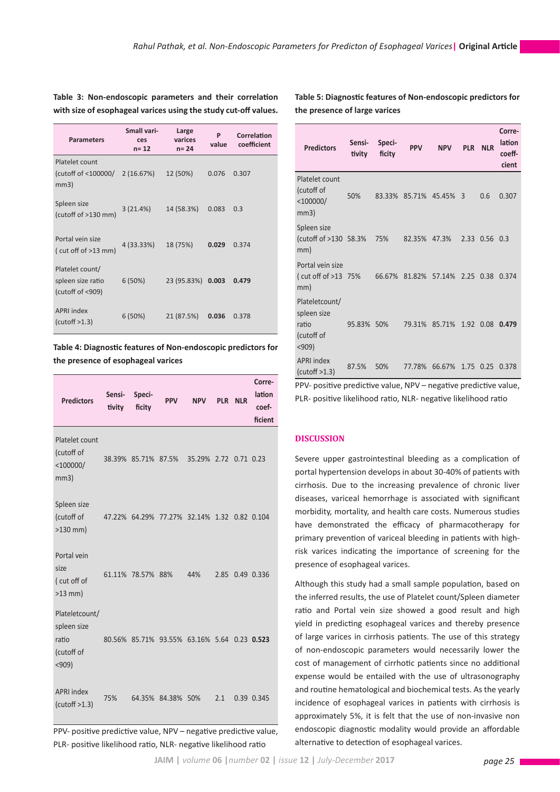**Table 3: Non-endoscopic parameters and their correlation with size of esophageal varices using the study cut-off values.**

| <b>Parameters</b>                                        | Small vari-<br>ces<br>$n = 12$ | Large<br>varices<br>$n = 24$ | P<br>value | Correlation<br>coefficient |
|----------------------------------------------------------|--------------------------------|------------------------------|------------|----------------------------|
| Platelet count<br>(cutoff of <100000/<br>mm3)            | 2(16.67%)                      | 12 (50%)                     | 0.076      | 0.307                      |
| Spleen size<br>(cutoff of >130 mm)                       | 3(21.4%)                       | 14 (58.3%)                   | 0.083      | 0.3                        |
| Portal vein size<br>(cut off of $>13$ mm)                | 4 (33.33%)                     | 18 (75%)                     | 0.029      | 0.374                      |
| Platelet count/<br>spleen size ratio<br>(cutoff of <909) | 6(50%)                         | 23 (95.83%)                  | 0.003      | 0.479                      |
| <b>APRI</b> index<br>(cutoff > 1.3)                      | 6 (50%)                        | 21 (87.5%)                   | 0.036      | 0.378                      |

**Table 4: Diagnostic features of Non-endoscopic predictors for the presence of esophageal varices**

| <b>Predictors</b>                                                 | Sensi-<br>tivity | Speci-<br>ficity  | <b>PPV</b>                                  | <b>NPV</b> | <b>PLR</b> | <b>NLR</b> | Corre-<br>lation<br>coef-<br>ficient |
|-------------------------------------------------------------------|------------------|-------------------|---------------------------------------------|------------|------------|------------|--------------------------------------|
| Platelet count<br>(cutoff of<br>$<$ 100000/<br>mm3)               |                  |                   | 38.39% 85.71% 87.5% 35.29% 2.72 0.71 0.23   |            |            |            |                                      |
| Spleen size<br>(cutoff of<br>$>130$ mm)                           |                  |                   | 47.22% 64.29% 77.27% 32.14% 1.32            |            |            |            | 0.82 0.104                           |
| Portal vein<br>size<br>(cut off of<br>$>13$ mm)                   |                  | 61.11% 78.57% 88% |                                             | 44%        | 2.85       |            | 0.49 0.336                           |
| Plateletcount/<br>spleen size<br>ratio<br>(cutoff of<br>$< 909$ ) |                  |                   | 80.56% 85.71% 93.55% 63.16% 5.64 0.23 0.523 |            |            |            |                                      |
| <b>APRI</b> index<br>(cutoff > 1.3)                               | 75%              |                   | 64.35% 84.38% 50%                           |            | 2.1        |            | 0.39 0.345                           |

PPV- positive predictive value, NPV – negative predictive value, PLR- positive likelihood ratio, NLR- negative likelihood ratio

**Table 5: Diagnostic features of Non-endoscopic predictors for the presence of large varices**

| <b>Predictors</b>                                             | Sensi-<br>tivity | Speci-<br>ficity | <b>PPV</b> | <b>NPV</b> | <b>PLR</b>     | <b>NLR</b> | Corre-<br>lation<br>coeff-<br>cient |
|---------------------------------------------------------------|------------------|------------------|------------|------------|----------------|------------|-------------------------------------|
| Platelet count<br>(cutoff of<br>$<$ 100000/<br>mm3)           | 50%              | 83.33%           | 85.71%     | 45.45%     | $\overline{3}$ | 0.6        | 0.307                               |
| Spleen size<br>(cutoff of >130 58.3%<br>mm)                   |                  | 75%              | 82.35%     | 47.3%      | 2.33           | 0.56       | 0.3                                 |
| Portal vein size<br>(cut off of >13 75%<br>mm)                |                  | 66.67%           | 81.82%     | 57.14%     | 2.25           | 0.38       | 0.374                               |
| Plateletcount/<br>spleen size<br>ratio<br>(cutoff of<br>$909$ | 95.83%           | 50%              | 79.31%     | 85.71%     | 1.92           | 0.08       | 0.479                               |
| <b>APRI</b> index<br>(cutoff > 1.3)                           | 87.5%            | 50%              | 77.78%     | 66.67%     | 1.75           | 0.25       | 0.378                               |

PPV- positive predictive value, NPV – negative predictive value, PLR- positive likelihood ratio, NLR- negative likelihood ratio

# **DISCUSSION**

Severe upper gastrointestinal bleeding as a complication of portal hypertension develops in about 30-40% of patients with cirrhosis. Due to the increasing prevalence of chronic liver diseases, variceal hemorrhage is associated with significant morbidity, mortality, and health care costs. Numerous studies have demonstrated the efficacy of pharmacotherapy for primary prevention of variceal bleeding in patients with highrisk varices indicating the importance of screening for the presence of esophageal varices.

Although this study had a small sample population, based on the inferred results, the use of Platelet count/Spleen diameter ratio and Portal vein size showed a good result and high yield in predicting esophageal varices and thereby presence of large varices in cirrhosis patients. The use of this strategy of non-endoscopic parameters would necessarily lower the cost of management of cirrhotic patients since no additional expense would be entailed with the use of ultrasonography and routine hematological and biochemical tests. As the yearly incidence of esophageal varices in patients with cirrhosis is approximately 5%, it is felt that the use of non-invasive non endoscopic diagnostic modality would provide an affordable alternative to detection of esophageal varices.